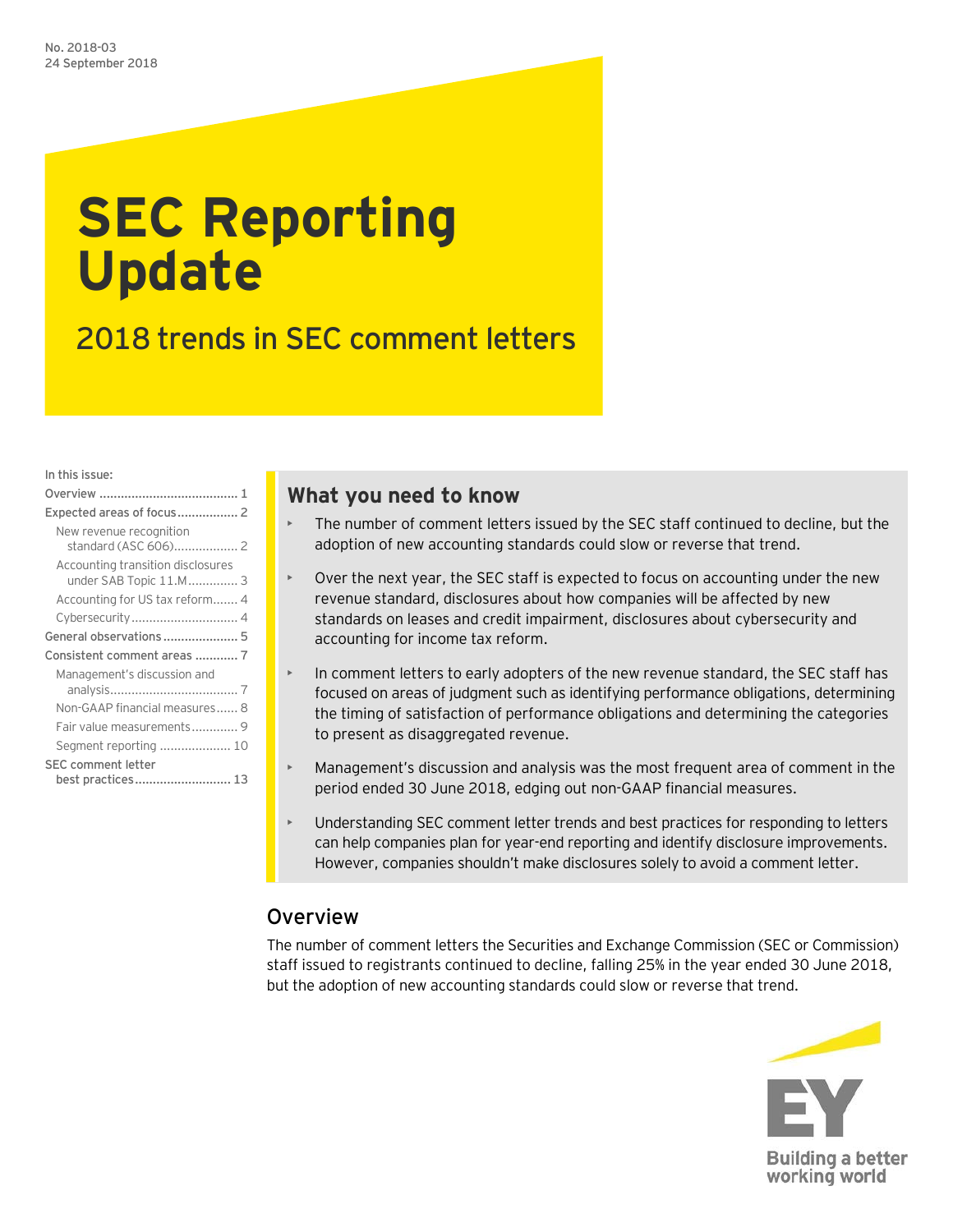# **SEC Reporting Update**

2018 trends in SEC comment letters

In this issue:

| New revenue recognition                                     |
|-------------------------------------------------------------|
| Accounting transition disclosures<br>under SAB Topic 11.M 3 |
| Accounting for US tax reform 4                              |
|                                                             |
| General observations 5                                      |
| Consistent comment areas  7                                 |
| Management's discussion and                                 |
|                                                             |
| Non-GAAP financial measures 8                               |
| Fair value measurements 9                                   |
| Segment reporting  10                                       |
| <b>SEC comment letter</b>                                   |
| best practices 13                                           |

# **What you need to know**

- The number of comment letters issued by the SEC staff continued to decline, but the adoption of new accounting standards could slow or reverse that trend.
- Over the next year, the SEC staff is expected to focus on accounting under the new revenue standard, disclosures about how companies will be affected by new standards on leases and credit impairment, disclosures about cybersecurity and accounting for income tax reform.
- In comment letters to early adopters of the new revenue standard, the SEC staff has focused on areas of judgment such as identifying performance obligations, determining the timing of satisfaction of performance obligations and determining the categories to present as disaggregated revenue.
- Management's discussion and analysis was the most frequent area of comment in the period ended 30 June 2018, edging out non-GAAP financial measures.
- Understanding SEC comment letter trends and best practices for responding to letters can help companies plan for year-end reporting and identify disclosure improvements. However, companies shouldn't make disclosures solely to avoid a comment letter.

# <span id="page-0-0"></span>Overview

The number of comment letters the Securities and Exchange Commission (SEC or Commission) staff issued to registrants continued to decline, falling 25% in the year ended 30 June 2018, but the adoption of new accounting standards could slow or reverse that trend.

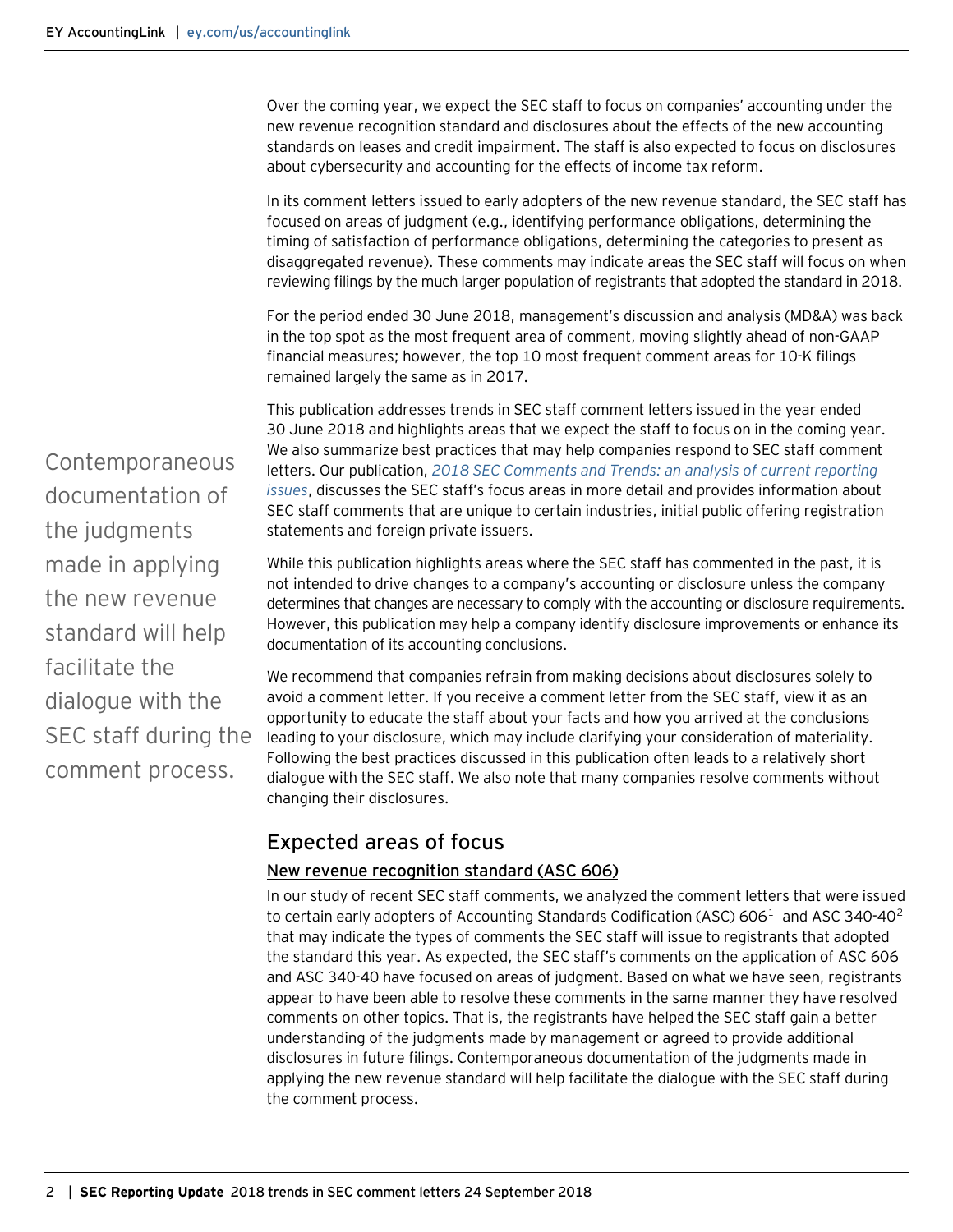Over the coming year, we expect the SEC staff to focus on companies' accounting under the new revenue recognition standard and disclosures about the effects of the new accounting standards on leases and credit impairment. The staff is also expected to focus on disclosures about cybersecurity and accounting for the effects of income tax reform.

In its comment letters issued to early adopters of the new revenue standard, the SEC staff has focused on areas of judgment (e.g., identifying performance obligations, determining the timing of satisfaction of performance obligations, determining the categories to present as disaggregated revenue). These comments may indicate areas the SEC staff will focus on when reviewing filings by the much larger population of registrants that adopted the standard in 2018.

For the period ended 30 June 2018, management's discussion and analysis (MD&A) was back in the top spot as the most frequent area of comment, moving slightly ahead of non-GAAP financial measures; however, the top 10 most frequent comment areas for 10-K filings remained largely the same as in 2017.

This publication addresses trends in SEC staff comment letters issued in the year ended 30 June 2018 and highlights areas that we expect the staff to focus on in the coming year. We also summarize best practices that may help companies respond to SEC staff comment letters. Our publication, *2018 [SEC Comments and Trends: an analysis of current reporting](https://www.ey.com/Publication/vwLUAssetsAL/SECCommentsTrends_04321-181US_24September2018/$FILE/SECCommentsTrends_04321-181US_24September2018.pdf)  [issues](https://www.ey.com/Publication/vwLUAssetsAL/SECCommentsTrends_04321-181US_24September2018/$FILE/SECCommentsTrends_04321-181US_24September2018.pdf)*, discusses the SEC staff's focus areas in more detail and provides information about SEC staff comments that are unique to certain industries, initial public offering registration statements and foreign private issuers.

While this publication highlights areas where the SEC staff has commented in the past, it is not intended to drive changes to a company's accounting or disclosure unless the company determines that changes are necessary to comply with the accounting or disclosure requirements. However, this publication may help a company identify disclosure improvements or enhance its documentation of its accounting conclusions.

We recommend that companies refrain from making decisions about disclosures solely to avoid a comment letter. If you receive a comment letter from the SEC staff, view it as an opportunity to educate the staff about your facts and how you arrived at the conclusions leading to your disclosure, which may include clarifying your consideration of materiality. Following the best practices discussed in this publication often leads to a relatively short dialogue with the SEC staff. We also note that many companies resolve comments without changing their disclosures.

# <span id="page-1-0"></span>Expected areas of focus

### <span id="page-1-1"></span>New revenue recognition standard (ASC 606)

In our study of recent SEC staff comments, we analyzed the comment letters that were issued to certain early adopters of Accounting Standards Codification (ASC) 606<sup>[1](#page-13-0)</sup> and ASC 340-40<sup>[2](#page-13-0)</sup> that may indicate the types of comments the SEC staff will issue to registrants that adopted the standard this year. As expected, the SEC staff's comments on the application of ASC 606 and ASC 340-40 have focused on areas of judgment. Based on what we have seen, registrants appear to have been able to resolve these comments in the same manner they have resolved comments on other topics. That is, the registrants have helped the SEC staff gain a better understanding of the judgments made by management or agreed to provide additional disclosures in future filings. Contemporaneous documentation of the judgments made in applying the new revenue standard will help facilitate the dialogue with the SEC staff during the comment process.

Contemporaneous documentation of the judgments made in applying the new revenue standard will help facilitate the dialogue with the SEC staff during the comment process.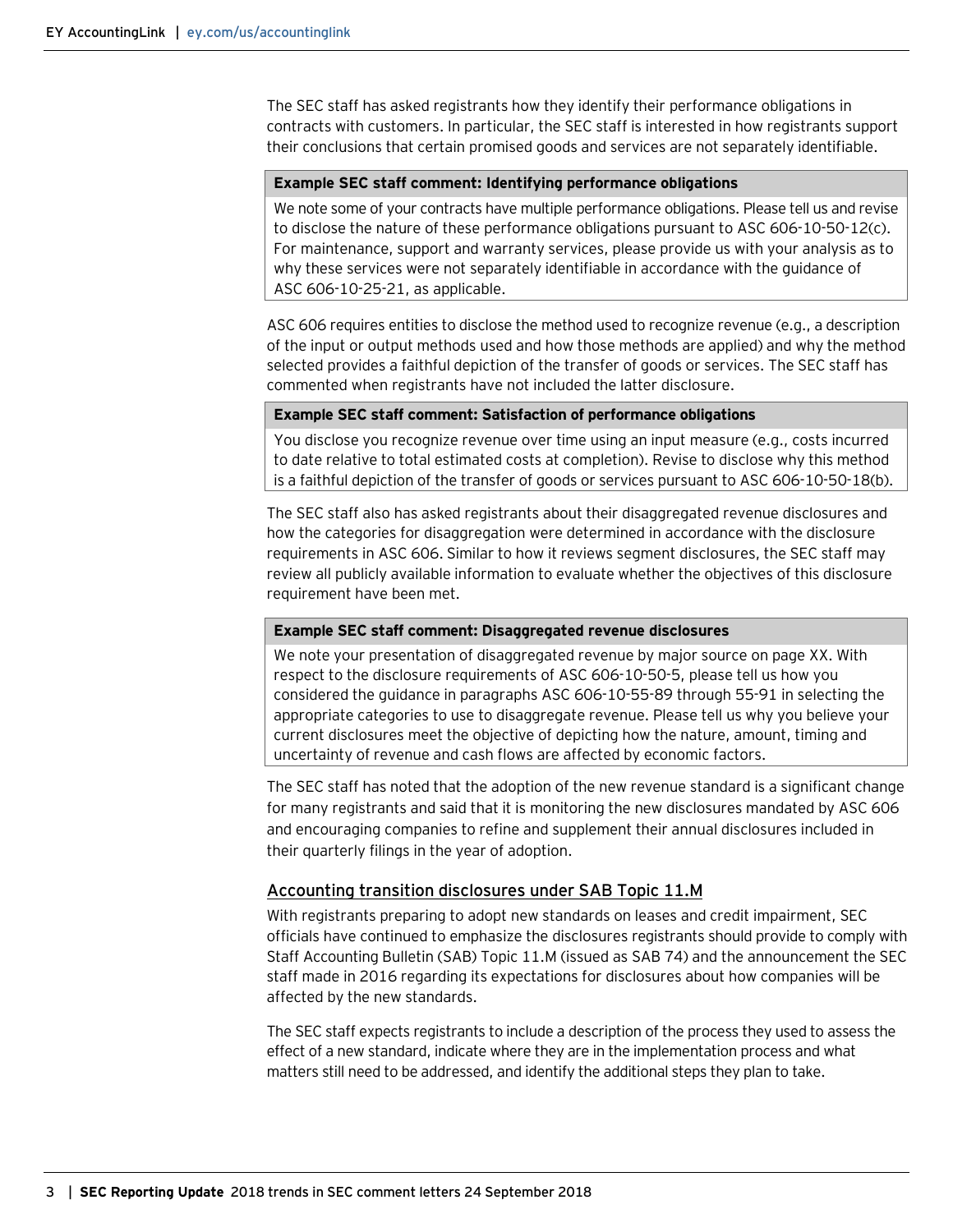The SEC staff has asked registrants how they identify their performance obligations in contracts with customers. In particular, the SEC staff is interested in how registrants support their conclusions that certain promised goods and services are not separately identifiable.

#### **Example SEC staff comment: Identifying performance obligations**

We note some of your contracts have multiple performance obligations. Please tell us and revise to disclose the nature of these performance obligations pursuant to ASC 606-10-50-12(c). For maintenance, support and warranty services, please provide us with your analysis as to why these services were not separately identifiable in accordance with the guidance of ASC 606-10-25-21, as applicable.

ASC 606 requires entities to disclose the method used to recognize revenue (e.g., a description of the input or output methods used and how those methods are applied) and why the method selected provides a faithful depiction of the transfer of goods or services. The SEC staff has commented when registrants have not included the latter disclosure.

#### **Example SEC staff comment: Satisfaction of performance obligations**

You disclose you recognize revenue over time using an input measure (e.g., costs incurred to date relative to total estimated costs at completion). Revise to disclose why this method is a faithful depiction of the transfer of goods or services pursuant to ASC 606-10-50-18(b).

The SEC staff also has asked registrants about their disaggregated revenue disclosures and how the categories for disaggregation were determined in accordance with the disclosure requirements in ASC 606. Similar to how it reviews segment disclosures, the SEC staff may review all publicly available information to evaluate whether the objectives of this disclosure requirement have been met.

#### **Example SEC staff comment: Disaggregated revenue disclosures**

We note your presentation of disaggregated revenue by major source on page XX. With respect to the disclosure requirements of ASC 606-10-50-5, please tell us how you considered the guidance in paragraphs ASC 606-10-55-89 through 55-91 in selecting the appropriate categories to use to disaggregate revenue. Please tell us why you believe your current disclosures meet the objective of depicting how the nature, amount, timing and uncertainty of revenue and cash flows are affected by economic factors.

The SEC staff has noted that the adoption of the new revenue standard is a significant change for many registrants and said that it is monitoring the new disclosures mandated by ASC 606 and encouraging companies to refine and supplement their annual disclosures included in their quarterly filings in the year of adoption.

#### <span id="page-2-0"></span>Accounting transition disclosures under SAB Topic 11.M

With registrants preparing to adopt new standards on leases and credit impairment, SEC officials have continued to emphasize the disclosures registrants should provide to comply with Staff Accounting Bulletin (SAB) Topic 11.M (issued as SAB 74) and the announcement the SEC staff made in 2016 regarding its expectations for disclosures about how companies will be affected by the new standards.

The SEC staff expects registrants to include a description of the process they used to assess the effect of a new standard, indicate where they are in the implementation process and what matters still need to be addressed, and identify the additional steps they plan to take.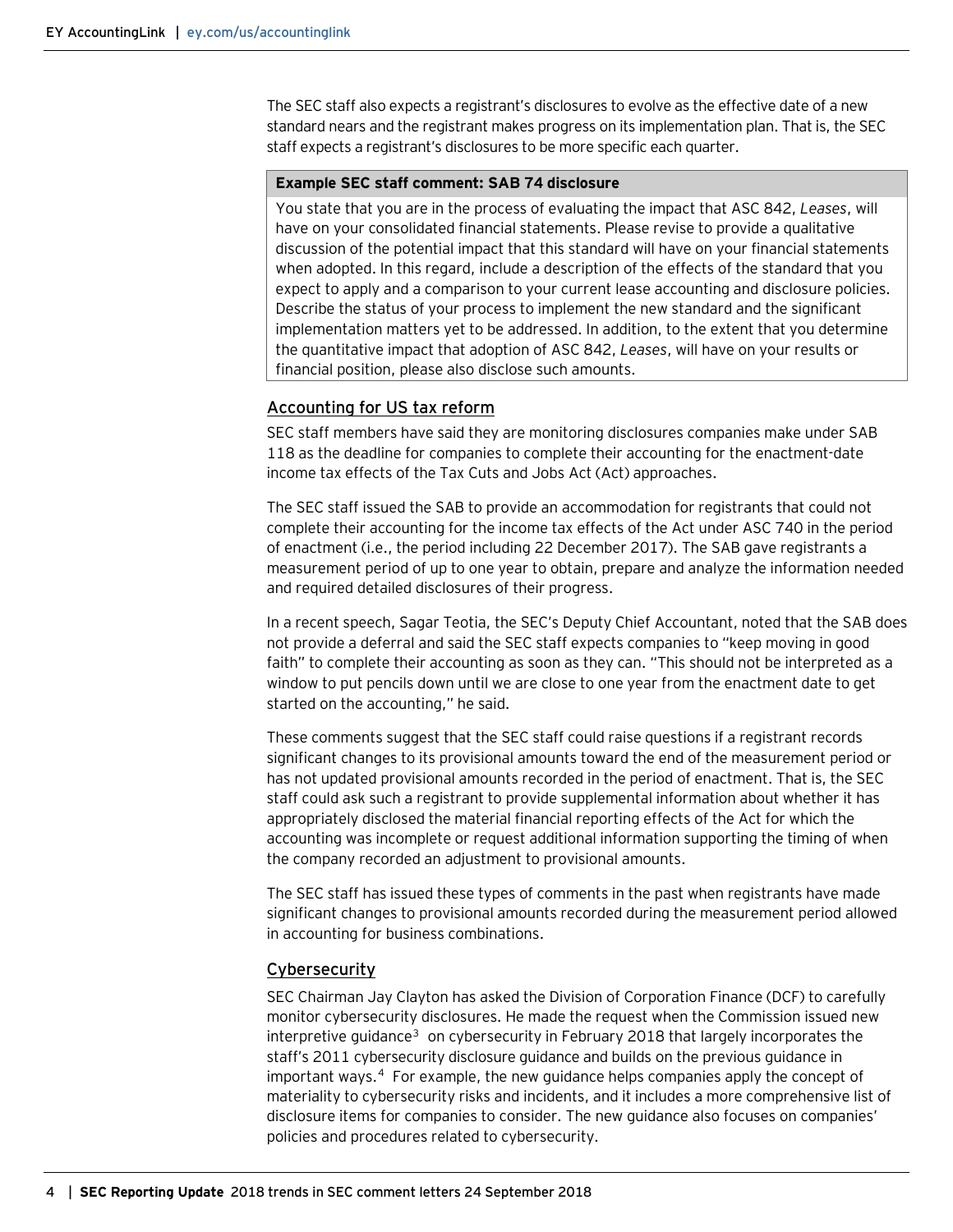The SEC staff also expects a registrant's disclosures to evolve as the effective date of a new standard nears and the registrant makes progress on its implementation plan. That is, the SEC staff expects a registrant's disclosures to be more specific each quarter.

#### **Example SEC staff comment: SAB 74 disclosure**

You state that you are in the process of evaluating the impact that ASC 842, *Leases*, will have on your consolidated financial statements. Please revise to provide a qualitative discussion of the potential impact that this standard will have on your financial statements when adopted. In this regard, include a description of the effects of the standard that you expect to apply and a comparison to your current lease accounting and disclosure policies. Describe the status of your process to implement the new standard and the significant implementation matters yet to be addressed. In addition, to the extent that you determine the quantitative impact that adoption of ASC 842, *Leases*, will have on your results or financial position, please also disclose such amounts.

#### <span id="page-3-0"></span>Accounting for US tax reform

SEC staff members have said they are monitoring disclosures companies make under SAB 118 as the deadline for companies to complete their accounting for the enactment-date income tax effects of the Tax Cuts and Jobs Act (Act) approaches.

The SEC staff issued the SAB to provide an accommodation for registrants that could not complete their accounting for the income tax effects of the Act under ASC 740 in the period of enactment (i.e., the period including 22 December 2017). The SAB gave registrants a measurement period of up to one year to obtain, prepare and analyze the information needed and required detailed disclosures of their progress.

In a recent speech, Sagar Teotia, the SEC's Deputy Chief Accountant, noted that the SAB does not provide a deferral and said the SEC staff expects companies to "keep moving in good faith" to complete their accounting as soon as they can. "This should not be interpreted as a window to put pencils down until we are close to one year from the enactment date to get started on the accounting," he said.

These comments suggest that the SEC staff could raise questions if a registrant records significant changes to its provisional amounts toward the end of the measurement period or has not updated provisional amounts recorded in the period of enactment. That is, the SEC staff could ask such a registrant to provide supplemental information about whether it has appropriately disclosed the material financial reporting effects of the Act for which the accounting was incomplete or request additional information supporting the timing of when the company recorded an adjustment to provisional amounts.

The SEC staff has issued these types of comments in the past when registrants have made significant changes to provisional amounts recorded during the measurement period allowed in accounting for business combinations.

#### <span id="page-3-1"></span>Cybersecurity

SEC Chairman Jay Clayton has asked the Division of Corporation Finance (DCF) to carefully monitor cybersecurity disclosures. He made the request when the Commission issued new interpretive guidance<sup>3</sup> on cybersecurity in February 2018 that largely incorporates the staff's 2011 cybersecurity disclosure guidance and builds on the previous guidance in important ways.[4](#page-13-0) For example, the new guidance helps companies apply the concept of materiality to cybersecurity risks and incidents, and it includes a more comprehensive list of disclosure items for companies to consider. The new guidance also focuses on companies' policies and procedures related to cybersecurity.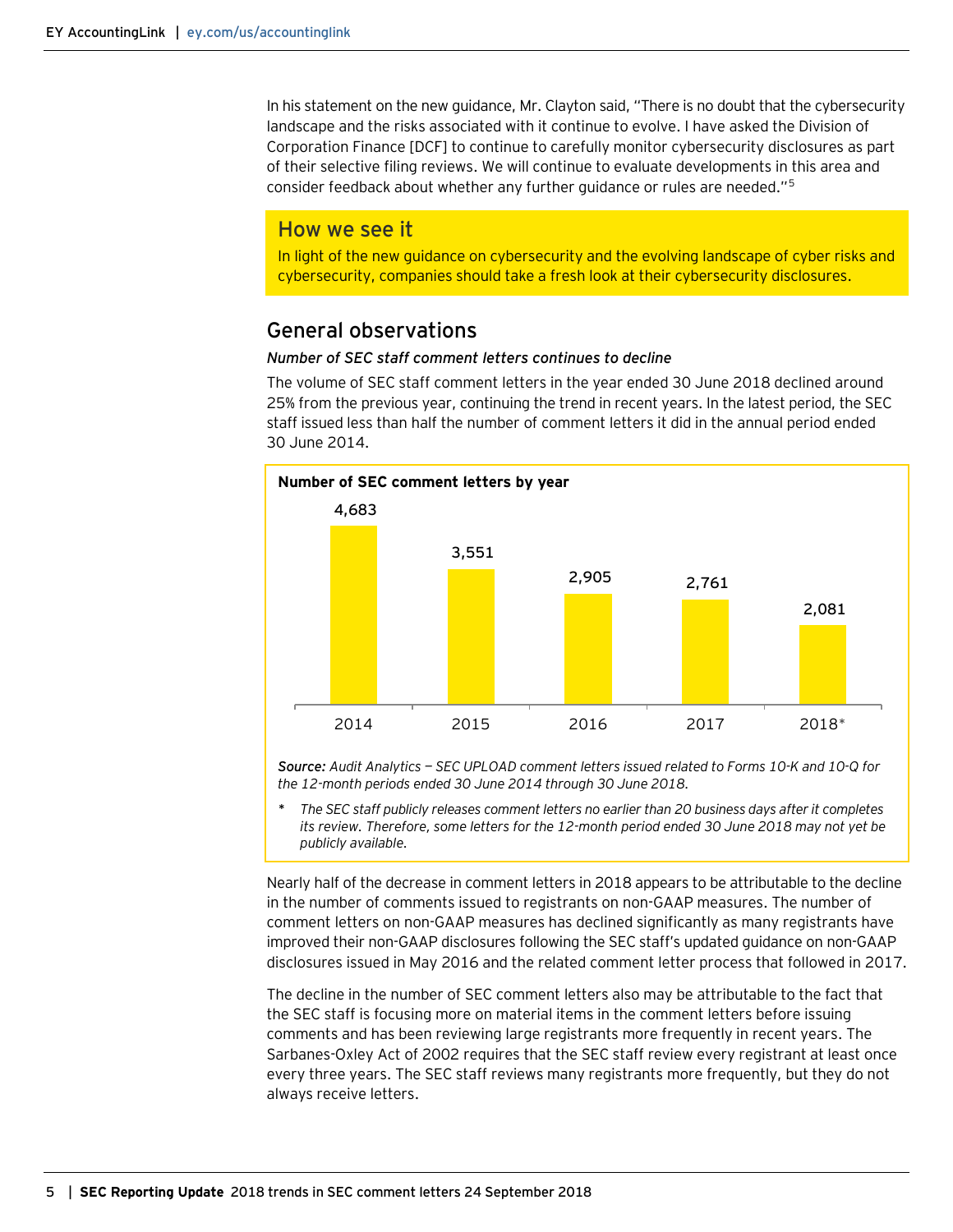In his statement on the new guidance, Mr. Clayton said, "There is no doubt that the cybersecurity landscape and the risks associated with it continue to evolve. I have asked the Division of Corporation Finance [DCF] to continue to carefully monitor cybersecurity disclosures as part of their selective filing reviews. We will continue to evaluate developments in this area and consider feedback about whether any further guidance or rules are needed."[5](#page-13-0)

#### How we see it

In light of the new guidance on cybersecurity and the evolving landscape of cyber risks and cybersecurity, companies should take a fresh look at their cybersecurity disclosures.

## <span id="page-4-0"></span>General observations

#### *Number of SEC staff comment letters continues to decline*

The volume of SEC staff comment letters in the year ended 30 June 2018 declined around 25% from the previous year, continuing the trend in recent years. In the latest period, the SEC staff issued less than half the number of comment letters it did in the annual period ended 30 June 2014.



*Source: Audit Analytics — SEC UPLOAD comment letters issued related to Forms 10-K and 10-Q for the 12-month periods ended 30 June 2014 through 30 June 2018.*

*\* The SEC staff publicly releases comment letters no earlier than 20 business days after it completes its review. Therefore, some letters for the 12-month period ended 30 June 2018 may not yet be publicly available.*

Nearly half of the decrease in comment letters in 2018 appears to be attributable to the decline in the number of comments issued to registrants on non-GAAP measures. The number of comment letters on non-GAAP measures has declined significantly as many registrants have improved their non-GAAP disclosures following the SEC staff's updated guidance on non-GAAP disclosures issued in May 2016 and the related comment letter process that followed in 2017.

The decline in the number of SEC comment letters also may be attributable to the fact that the SEC staff is focusing more on material items in the comment letters before issuing comments and has been reviewing large registrants more frequently in recent years. The Sarbanes-Oxley Act of 2002 requires that the SEC staff review every registrant at least once every three years. The SEC staff reviews many registrants more frequently, but they do not always receive letters.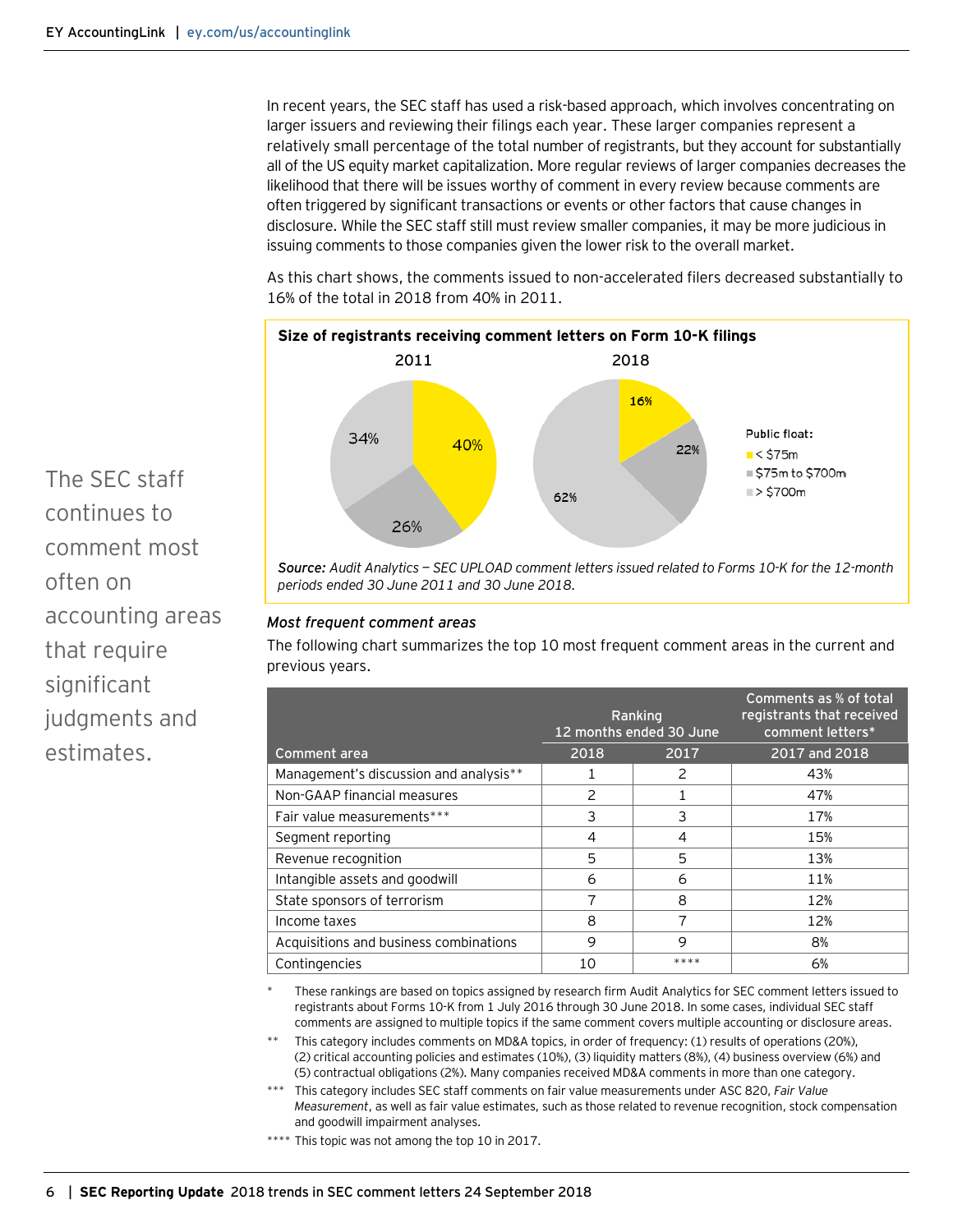In recent years, the SEC staff has used a risk-based approach, which involves concentrating on larger issuers and reviewing their filings each year. These larger companies represent a relatively small percentage of the total number of registrants, but they account for substantially all of the US equity market capitalization. More regular reviews of larger companies decreases the likelihood that there will be issues worthy of comment in every review because comments are often triggered by significant transactions or events or other factors that cause changes in disclosure. While the SEC staff still must review smaller companies, it may be more judicious in issuing comments to those companies given the lower risk to the overall market.

As this chart shows, the comments issued to non-accelerated filers decreased substantially to 16% of the total in 2018 from 40% in 2011.



*Source: Audit Analytics — SEC UPLOAD comment letters issued related to Forms 10-K for the 12-month periods ended 30 June 2011 and 30 June 2018.*

#### *Most frequent comment areas*

The following chart summarizes the top 10 most frequent comment areas in the current and previous years.

|                                        |               | Ranking<br>12 months ended 30 June | Comments as % of total<br>registrants that received<br>comment letters* |
|----------------------------------------|---------------|------------------------------------|-------------------------------------------------------------------------|
| Comment area                           | 2018          | 2017                               | 2017 and 2018                                                           |
| Management's discussion and analysis** |               | 2                                  | 43%                                                                     |
| Non-GAAP financial measures            | $\mathcal{P}$ |                                    | 47%                                                                     |
| Fair value measurements***             | 3             | 3                                  | 17%                                                                     |
| Segment reporting                      | 4             | 4                                  | 15%                                                                     |
| Revenue recognition                    | 5             | 5                                  | 13%                                                                     |
| Intangible assets and goodwill         | 6             | 6                                  | 11%                                                                     |
| State sponsors of terrorism            | 7             | 8                                  | 12%                                                                     |
| Income taxes                           | 8             | ⇁                                  | 12%                                                                     |
| Acquisitions and business combinations | 9             | 9                                  | 8%                                                                      |
| Contingencies                          | 10            | ****                               | 6%                                                                      |

These rankings are based on topics assigned by research firm Audit Analytics for SEC comment letters issued to registrants about Forms 10-K from 1 July 2016 through 30 June 2018. In some cases, individual SEC staff comments are assigned to multiple topics if the same comment covers multiple accounting or disclosure areas.

This category includes comments on MD&A topics, in order of frequency: (1) results of operations (20%), (2) critical accounting policies and estimates (10%), (3) liquidity matters (8%), (4) business overview (6%) and (5) contractual obligations (2%). Many companies received MD&A comments in more than one category.

\*\*\* This category includes SEC staff comments on fair value measurements under ASC 820, *Fair Value Measurement*, as well as fair value estimates, such as those related to revenue recognition, stock compensation and goodwill impairment analyses.

\*\*\*\* This topic was not among the top 10 in 2017.

The SEC staff continues to comment most often on accounting areas that require significant judgments and estimates.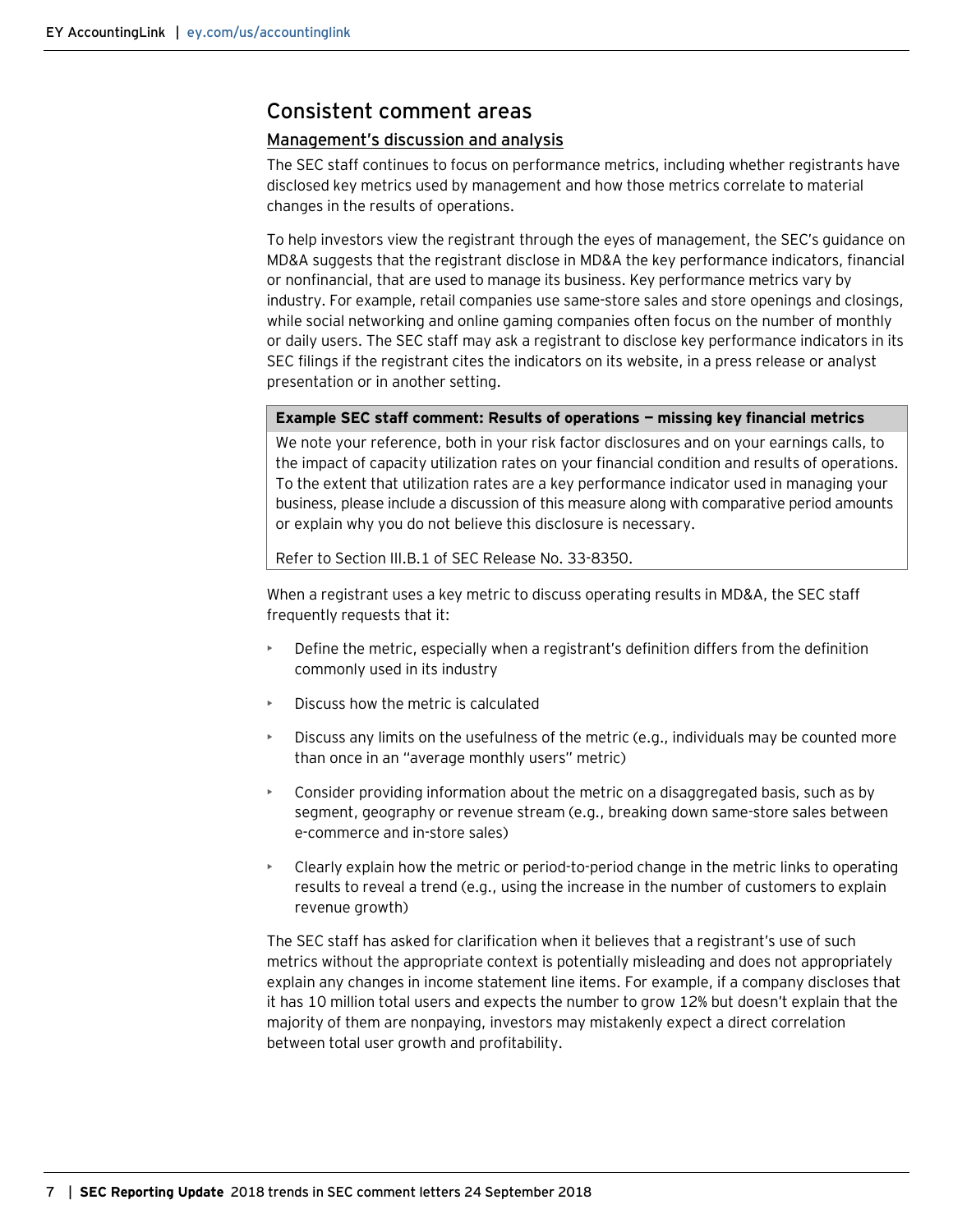# <span id="page-6-0"></span>Consistent comment areas

#### <span id="page-6-1"></span>Management's discussion and analysis

The SEC staff continues to focus on performance metrics, including whether registrants have disclosed key metrics used by management and how those metrics correlate to material changes in the results of operations.

To help investors view the registrant through the eyes of management, the SEC's guidance on MD&A suggests that the registrant disclose in MD&A the key performance indicators, financial or nonfinancial, that are used to manage its business. Key performance metrics vary by industry. For example, retail companies use same-store sales and store openings and closings, while social networking and online gaming companies often focus on the number of monthly or daily users. The SEC staff may ask a registrant to disclose key performance indicators in its SEC filings if the registrant cites the indicators on its website, in a press release or analyst presentation or in another setting.

#### **Example SEC staff comment: Results of operations — missing key financial metrics**

We note your reference, both in your risk factor disclosures and on your earnings calls, to the impact of capacity utilization rates on your financial condition and results of operations. To the extent that utilization rates are a key performance indicator used in managing your business, please include a discussion of this measure along with comparative period amounts or explain why you do not believe this disclosure is necessary.

Refer to Section III.B.1 of SEC Release No. 33-8350.

When a registrant uses a key metric to discuss operating results in MD&A, the SEC staff frequently requests that it:

- Define the metric, especially when a registrant's definition differs from the definition commonly used in its industry
- Discuss how the metric is calculated
- Discuss any limits on the usefulness of the metric (e.g., individuals may be counted more than once in an "average monthly users" metric)
- Consider providing information about the metric on a disaggregated basis, such as by segment, geography or revenue stream (e.g., breaking down same-store sales between e-commerce and in-store sales)
- Clearly explain how the metric or period-to-period change in the metric links to operating results to reveal a trend (e.g., using the increase in the number of customers to explain revenue growth)

The SEC staff has asked for clarification when it believes that a registrant's use of such metrics without the appropriate context is potentially misleading and does not appropriately explain any changes in income statement line items. For example, if a company discloses that it has 10 million total users and expects the number to grow 12% but doesn't explain that the majority of them are nonpaying, investors may mistakenly expect a direct correlation between total user growth and profitability.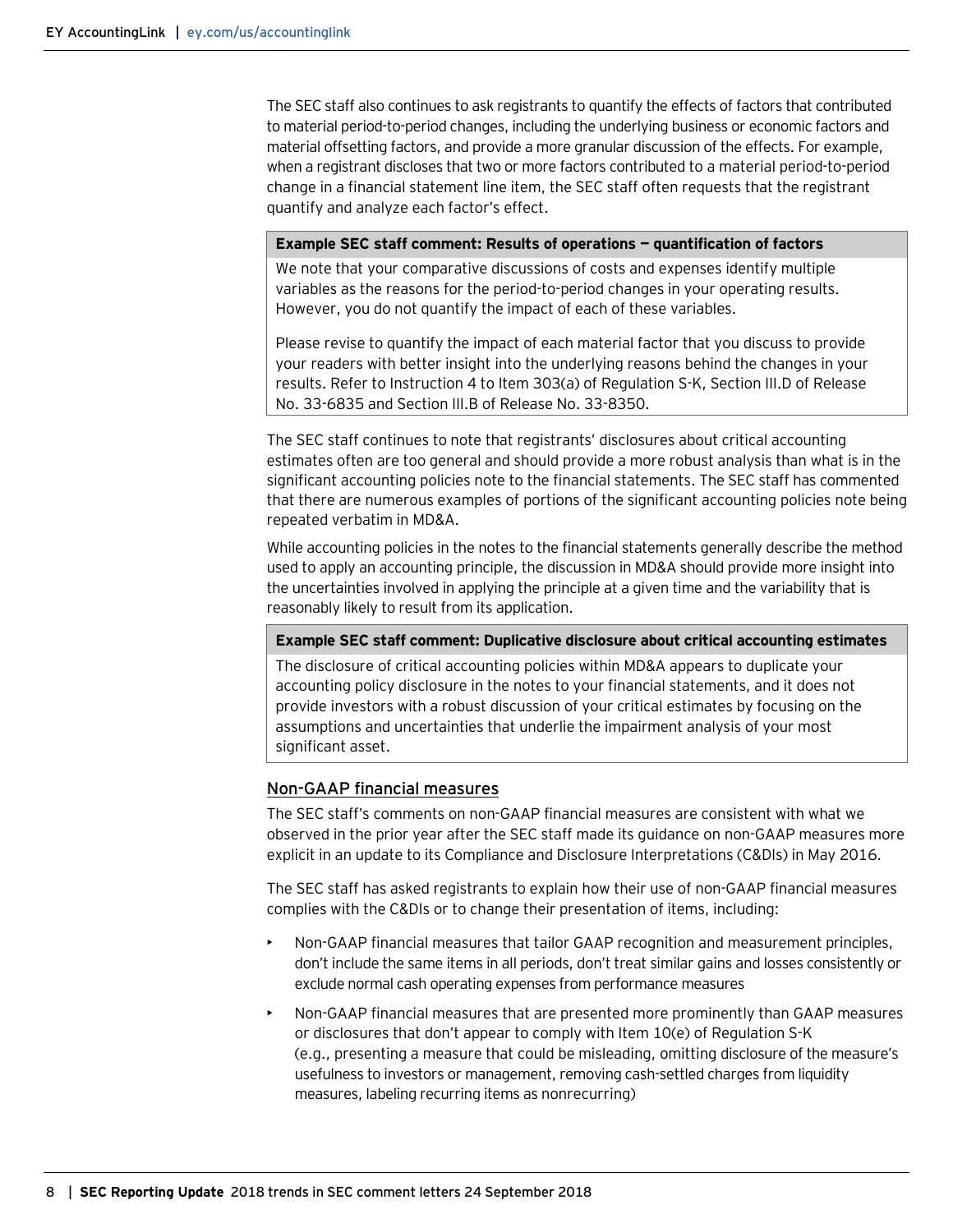The SEC staff also continues to ask registrants to quantify the effects of factors that contributed to material period-to-period changes, including the underlying business or economic factors and material offsetting factors, and provide a more granular discussion of the effects. For example, when a registrant discloses that two or more factors contributed to a material period-to-period change in a financial statement line item, the SEC staff often requests that the registrant quantify and analyze each factor's effect.

#### **Example SEC staff comment: Results of operations — quantification of factors**

We note that your comparative discussions of costs and expenses identify multiple variables as the reasons for the period-to-period changes in your operating results. However, you do not quantify the impact of each of these variables.

Please revise to quantify the impact of each material factor that you discuss to provide your readers with better insight into the underlying reasons behind the changes in your results. Refer to Instruction 4 to Item 303(a) of Regulation S-K, Section III.D of Release No. 33-6835 and Section III.B of Release No. 33-8350.

The SEC staff continues to note that registrants' disclosures about critical accounting estimates often are too general and should provide a more robust analysis than what is in the significant accounting policies note to the financial statements. The SEC staff has commented that there are numerous examples of portions of the significant accounting policies note being repeated verbatim in MD&A.

While accounting policies in the notes to the financial statements generally describe the method used to apply an accounting principle, the discussion in MD&A should provide more insight into the uncertainties involved in applying the principle at a given time and the variability that is reasonably likely to result from its application.

#### **Example SEC staff comment: Duplicative disclosure about critical accounting estimates**

The disclosure of critical accounting policies within MD&A appears to duplicate your accounting policy disclosure in the notes to your financial statements, and it does not provide investors with a robust discussion of your critical estimates by focusing on the assumptions and uncertainties that underlie the impairment analysis of your most significant asset.

#### <span id="page-7-0"></span>Non-GAAP financial measures

The SEC staff's comments on non-GAAP financial measures are consistent with what we observed in the prior year after the SEC staff made its guidance on non-GAAP measures more explicit in an update to its Compliance and Disclosure Interpretations (C&DIs) in May 2016.

The SEC staff has asked registrants to explain how their use of non-GAAP financial measures complies with the C&DIs or to change their presentation of items, including:

- Non-GAAP financial measures that tailor GAAP recognition and measurement principles, don't include the same items in all periods, don't treat similar gains and losses consistently or exclude normal cash operating expenses from performance measures
- Non-GAAP financial measures that are presented more prominently than GAAP measures or disclosures that don't appear to comply with Item 10(e) of Regulation S-K (e.g., presenting a measure that could be misleading, omitting disclosure of the measure's usefulness to investors or management, removing cash-settled charges from liquidity measures, labeling recurring items as nonrecurring)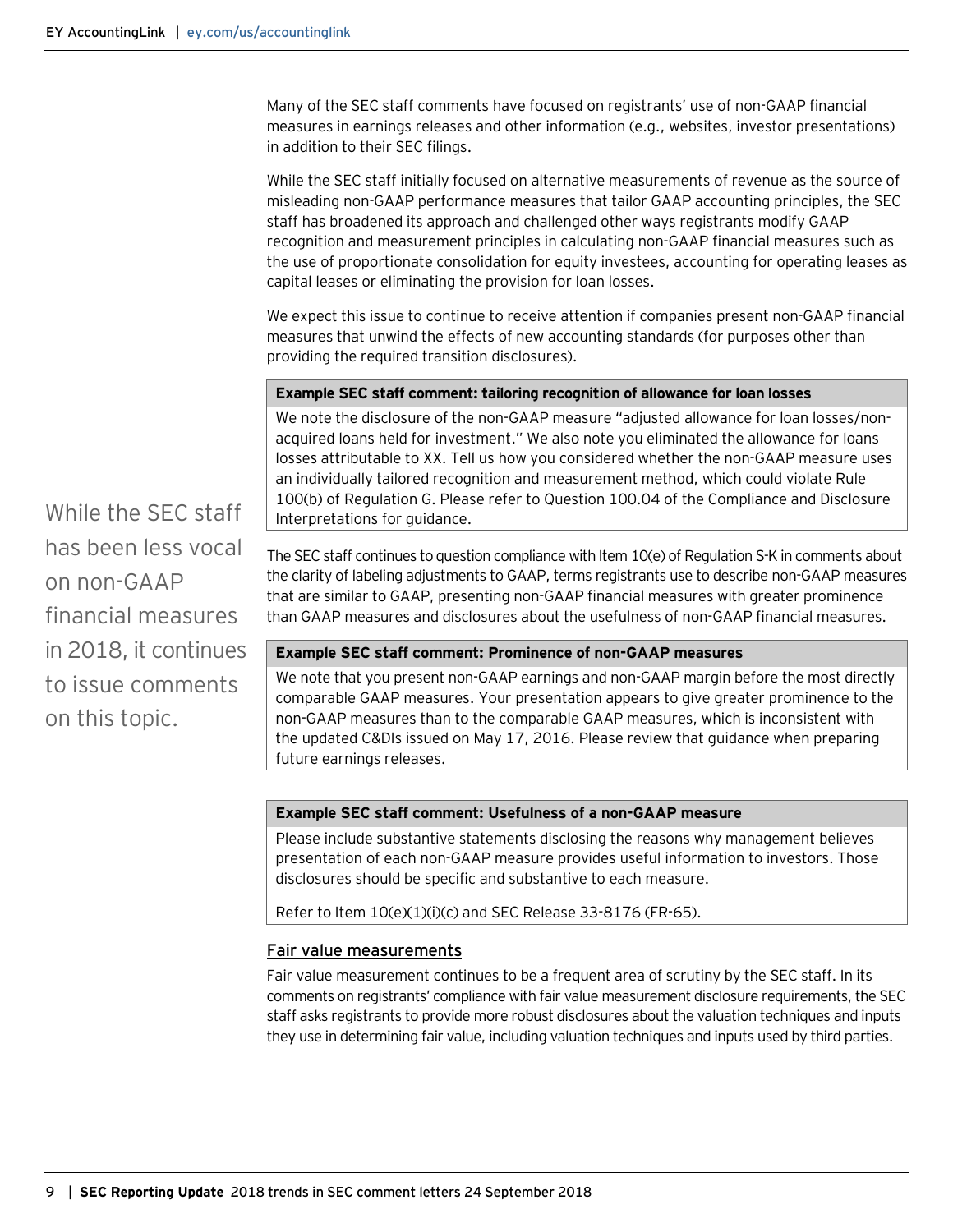Many of the SEC staff comments have focused on registrants' use of non-GAAP financial measures in earnings releases and other information (e.g., websites, investor presentations) in addition to their SEC filings.

While the SEC staff initially focused on alternative measurements of revenue as the source of misleading non-GAAP performance measures that tailor GAAP accounting principles, the SEC staff has broadened its approach and challenged other ways registrants modify GAAP recognition and measurement principles in calculating non-GAAP financial measures such as the use of proportionate consolidation for equity investees, accounting for operating leases as capital leases or eliminating the provision for loan losses.

We expect this issue to continue to receive attention if companies present non-GAAP financial measures that unwind the effects of new accounting standards (for purposes other than providing the required transition disclosures).

#### **Example SEC staff comment: tailoring recognition of allowance for loan losses**

We note the disclosure of the non-GAAP measure "adjusted allowance for loan losses/nonacquired loans held for investment." We also note you eliminated the allowance for loans losses attributable to XX. Tell us how you considered whether the non-GAAP measure uses an individually tailored recognition and measurement method, which could violate Rule 100(b) of Regulation G. Please refer to Question 100.04 of the Compliance and Disclosure Interpretations for guidance.

While the SEC staff has been less vocal on non-GAAP financial measures in 2018, it continues to issue comments on this topic.

The SEC staff continues to question compliance with Item 10(e) of Regulation S-K in comments about the clarity of labeling adjustments to GAAP, terms registrants use to describe non-GAAP measures that are similar to GAAP, presenting non-GAAP financial measures with greater prominence than GAAP measures and disclosures about the usefulness of non-GAAP financial measures.

#### **Example SEC staff comment: Prominence of non-GAAP measures**

We note that you present non-GAAP earnings and non-GAAP margin before the most directly comparable GAAP measures. Your presentation appears to give greater prominence to the non-GAAP measures than to the comparable GAAP measures, which is inconsistent with the updated C&DIs issued on May 17, 2016. Please review that guidance when preparing future earnings releases.

#### **Example SEC staff comment: Usefulness of a non-GAAP measure**

Please include substantive statements disclosing the reasons why management believes presentation of each non-GAAP measure provides useful information to investors. Those disclosures should be specific and substantive to each measure.

Refer to Item 10(e)(1)(i)(c) and SEC Release 33-8176 (FR-65).

#### <span id="page-8-0"></span>Fair value measurements

Fair value measurement continues to be a frequent area of scrutiny by the SEC staff. In its comments on registrants' compliance with fair value measurement disclosure requirements, the SEC staff asks registrants to provide more robust disclosures about the valuation techniques and inputs they use in determining fair value, including valuation techniques and inputs used by third parties.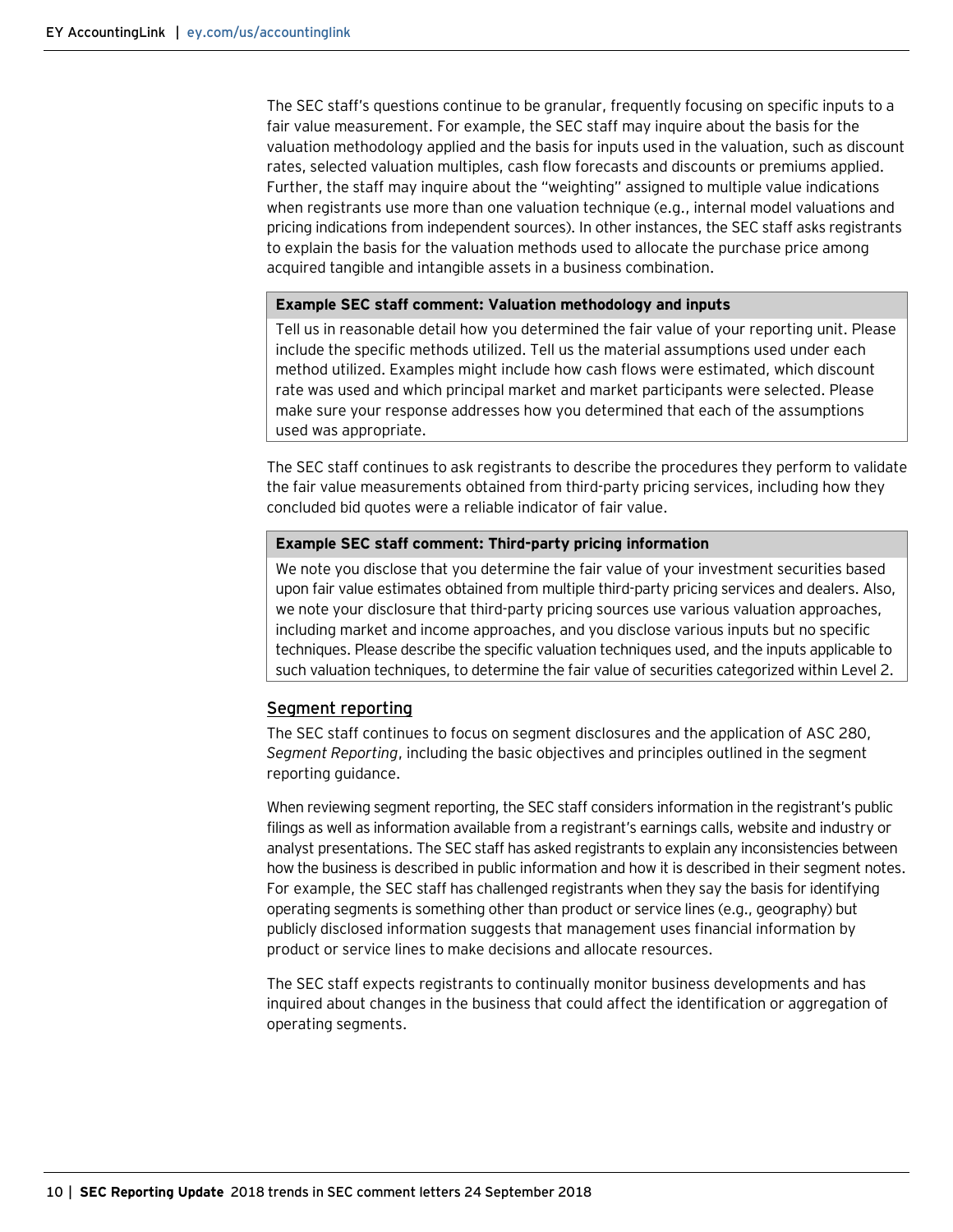The SEC staff's questions continue to be granular, frequently focusing on specific inputs to a fair value measurement. For example, the SEC staff may inquire about the basis for the valuation methodology applied and the basis for inputs used in the valuation, such as discount rates, selected valuation multiples, cash flow forecasts and discounts or premiums applied. Further, the staff may inquire about the "weighting" assigned to multiple value indications when registrants use more than one valuation technique (e.g., internal model valuations and pricing indications from independent sources). In other instances, the SEC staff asks registrants to explain the basis for the valuation methods used to allocate the purchase price among acquired tangible and intangible assets in a business combination.

#### **Example SEC staff comment: Valuation methodology and inputs**

Tell us in reasonable detail how you determined the fair value of your reporting unit. Please include the specific methods utilized. Tell us the material assumptions used under each method utilized. Examples might include how cash flows were estimated, which discount rate was used and which principal market and market participants were selected. Please make sure your response addresses how you determined that each of the assumptions used was appropriate.

The SEC staff continues to ask registrants to describe the procedures they perform to validate the fair value measurements obtained from third-party pricing services, including how they concluded bid quotes were a reliable indicator of fair value.

#### **Example SEC staff comment: Third-party pricing information**

We note you disclose that you determine the fair value of your investment securities based upon fair value estimates obtained from multiple third-party pricing services and dealers. Also, we note your disclosure that third-party pricing sources use various valuation approaches, including market and income approaches, and you disclose various inputs but no specific techniques. Please describe the specific valuation techniques used, and the inputs applicable to such valuation techniques, to determine the fair value of securities categorized within Level 2.

#### <span id="page-9-0"></span>Segment reporting

The SEC staff continues to focus on segment disclosures and the application of ASC 280, *Segment Reporting*, including the basic objectives and principles outlined in the segment reporting guidance.

When reviewing segment reporting, the SEC staff considers information in the registrant's public filings as well as information available from a registrant's earnings calls, website and industry or analyst presentations. The SEC staff has asked registrants to explain any inconsistencies between how the business is described in public information and how it is described in their segment notes. For example, the SEC staff has challenged registrants when they say the basis for identifying operating segments is something other than product or service lines (e.g., geography) but publicly disclosed information suggests that management uses financial information by product or service lines to make decisions and allocate resources.

The SEC staff expects registrants to continually monitor business developments and has inquired about changes in the business that could affect the identification or aggregation of operating segments.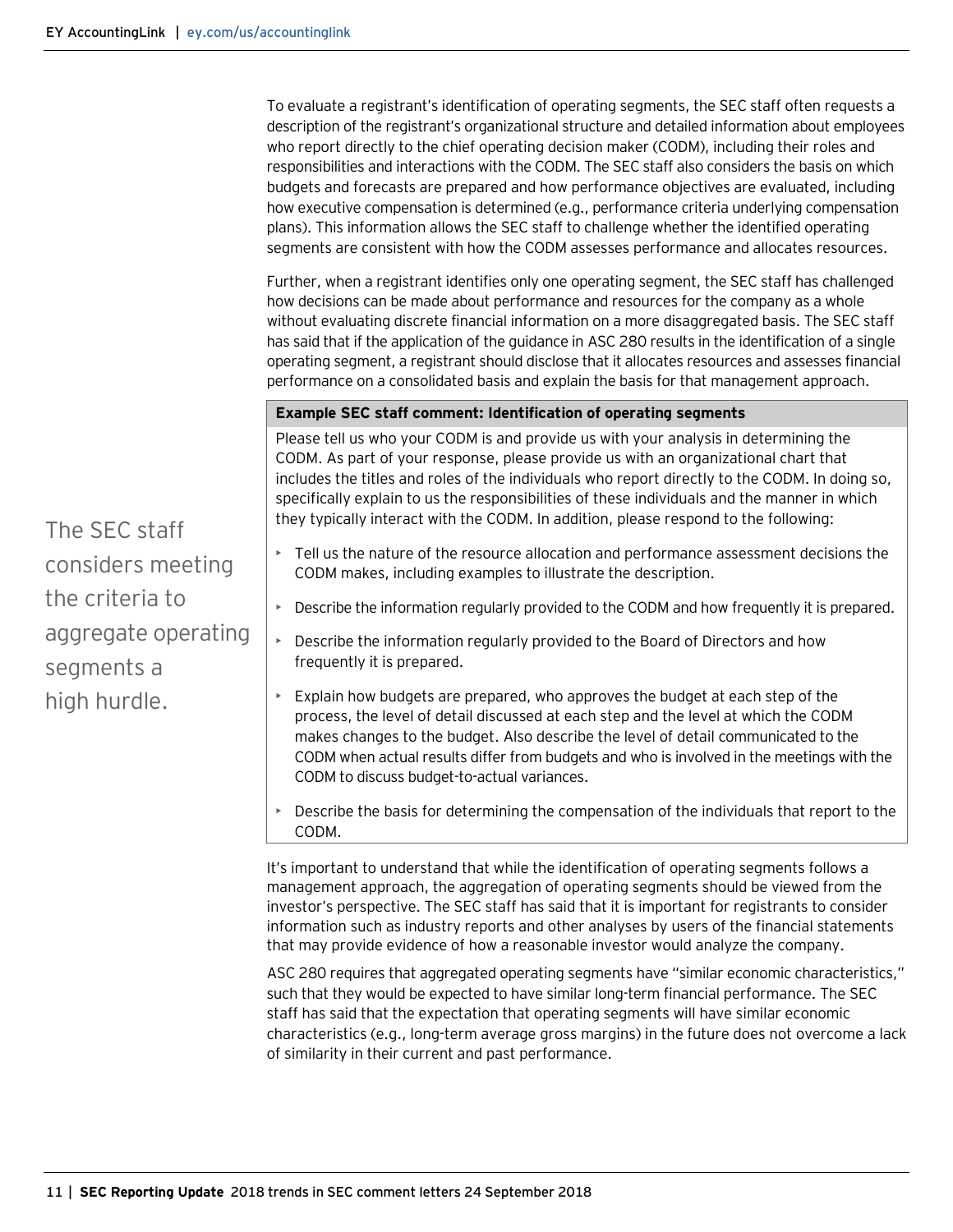To evaluate a registrant's identification of operating segments, the SEC staff often requests a description of the registrant's organizational structure and detailed information about employees who report directly to the chief operating decision maker (CODM), including their roles and responsibilities and interactions with the CODM. The SEC staff also considers the basis on which budgets and forecasts are prepared and how performance objectives are evaluated, including how executive compensation is determined (e.g., performance criteria underlying compensation plans). This information allows the SEC staff to challenge whether the identified operating segments are consistent with how the CODM assesses performance and allocates resources.

Further, when a registrant identifies only one operating segment, the SEC staff has challenged how decisions can be made about performance and resources for the company as a whole without evaluating discrete financial information on a more disaggregated basis. The SEC staff has said that if the application of the guidance in ASC 280 results in the identification of a single operating segment, a registrant should disclose that it allocates resources and assesses financial performance on a consolidated basis and explain the basis for that management approach.

#### **Example SEC staff comment: Identification of operating segments**

Please tell us who your CODM is and provide us with your analysis in determining the CODM. As part of your response, please provide us with an organizational chart that includes the titles and roles of the individuals who report directly to the CODM. In doing so, specifically explain to us the responsibilities of these individuals and the manner in which they typically interact with the CODM. In addition, please respond to the following:

- Tell us the nature of the resource allocation and performance assessment decisions the CODM makes, including examples to illustrate the description.
- Describe the information regularly provided to the CODM and how frequently it is prepared.
- Describe the information regularly provided to the Board of Directors and how frequently it is prepared.
- $\triangleright$  Explain how budgets are prepared, who approves the budget at each step of the process, the level of detail discussed at each step and the level at which the CODM makes changes to the budget. Also describe the level of detail communicated to the CODM when actual results differ from budgets and who is involved in the meetings with the CODM to discuss budget-to-actual variances.
- Describe the basis for determining the compensation of the individuals that report to the CODM.

It's important to understand that while the identification of operating segments follows a management approach, the aggregation of operating segments should be viewed from the investor's perspective. The SEC staff has said that it is important for registrants to consider information such as industry reports and other analyses by users of the financial statements that may provide evidence of how a reasonable investor would analyze the company.

ASC 280 requires that aggregated operating segments have "similar economic characteristics," such that they would be expected to have similar long-term financial performance. The SEC staff has said that the expectation that operating segments will have similar economic characteristics (e.g., long-term average gross margins) in the future does not overcome a lack of similarity in their current and past performance.

The SEC staff considers meeting the criteria to aggregate operating segments a high hurdle.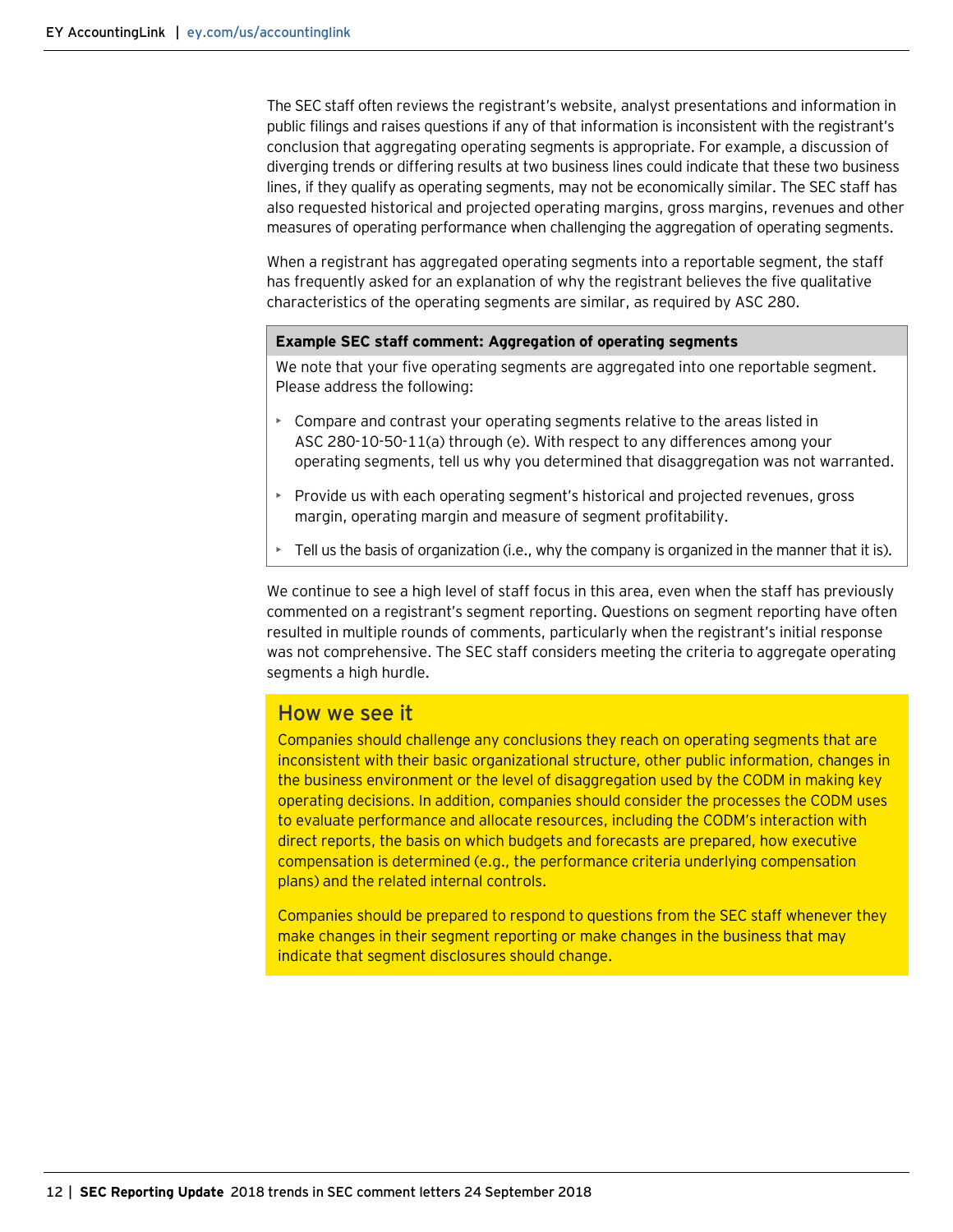The SEC staff often reviews the registrant's website, analyst presentations and information in public filings and raises questions if any of that information is inconsistent with the registrant's conclusion that aggregating operating segments is appropriate. For example, a discussion of diverging trends or differing results at two business lines could indicate that these two business lines, if they qualify as operating segments, may not be economically similar. The SEC staff has also requested historical and projected operating margins, gross margins, revenues and other measures of operating performance when challenging the aggregation of operating segments.

When a registrant has aggregated operating segments into a reportable segment, the staff has frequently asked for an explanation of why the registrant believes the five qualitative characteristics of the operating segments are similar, as required by ASC 280.

#### **Example SEC staff comment: Aggregation of operating segments**

We note that your five operating segments are aggregated into one reportable segment. Please address the following:

- Compare and contrast your operating segments relative to the areas listed in ASC 280-10-50-11(a) through (e). With respect to any differences among your operating segments, tell us why you determined that disaggregation was not warranted.
- Provide us with each operating segment's historical and projected revenues, gross margin, operating margin and measure of segment profitability.
- Tell us the basis of organization (i.e., why the company is organized in the manner that it is).

We continue to see a high level of staff focus in this area, even when the staff has previously commented on a registrant's segment reporting. Questions on segment reporting have often resulted in multiple rounds of comments, particularly when the registrant's initial response was not comprehensive. The SEC staff considers meeting the criteria to aggregate operating segments a high hurdle.

#### How we see it

Companies should challenge any conclusions they reach on operating segments that are inconsistent with their basic organizational structure, other public information, changes in the business environment or the level of disaggregation used by the CODM in making key operating decisions. In addition, companies should consider the processes the CODM uses to evaluate performance and allocate resources, including the CODM's interaction with direct reports, the basis on which budgets and forecasts are prepared, how executive compensation is determined (e.g., the performance criteria underlying compensation plans) and the related internal controls.

Companies should be prepared to respond to questions from the SEC staff whenever they make changes in their segment reporting or make changes in the business that may indicate that segment disclosures should change.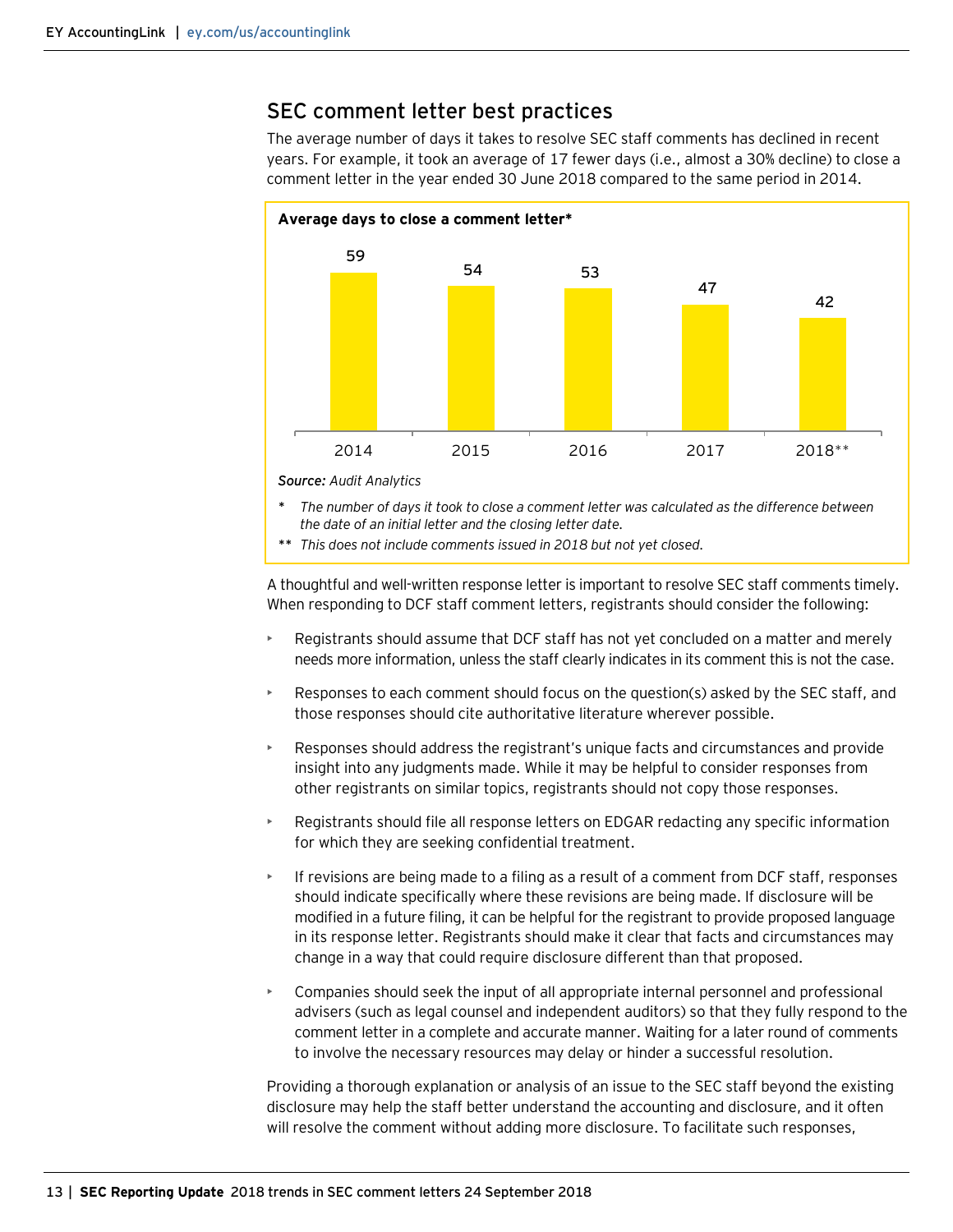# <span id="page-12-0"></span>SEC comment letter best practices

The average number of days it takes to resolve SEC staff comments has declined in recent years. For example, it took an average of 17 fewer days (i.e., almost a 30% decline) to close a comment letter in the year ended 30 June 2018 compared to the same period in 2014.



- *\* The number of days it took to close a comment letter was calculated as the difference between the date of an initial letter and the closing letter date.*
- *\*\* This does not include comments issued in 2018 but not yet closed.*

A thoughtful and well-written response letter is important to resolve SEC staff comments timely. When responding to DCF staff comment letters, registrants should consider the following:

- Registrants should assume that DCF staff has not yet concluded on a matter and merely needs more information, unless the staff clearly indicates in its comment this is not the case.
- Responses to each comment should focus on the question(s) asked by the SEC staff, and those responses should cite authoritative literature wherever possible.
- Responses should address the registrant's unique facts and circumstances and provide insight into any judgments made. While it may be helpful to consider responses from other registrants on similar topics, registrants should not copy those responses.
- Registrants should file all response letters on EDGAR redacting any specific information for which they are seeking confidential treatment.
- If revisions are being made to a filing as a result of a comment from DCF staff, responses should indicate specifically where these revisions are being made. If disclosure will be modified in a future filing, it can be helpful for the registrant to provide proposed language in its response letter. Registrants should make it clear that facts and circumstances may change in a way that could require disclosure different than that proposed.
- Companies should seek the input of all appropriate internal personnel and professional advisers (such as legal counsel and independent auditors) so that they fully respond to the comment letter in a complete and accurate manner. Waiting for a later round of comments to involve the necessary resources may delay or hinder a successful resolution.

Providing a thorough explanation or analysis of an issue to the SEC staff beyond the existing disclosure may help the staff better understand the accounting and disclosure, and it often will resolve the comment without adding more disclosure. To facilitate such responses,